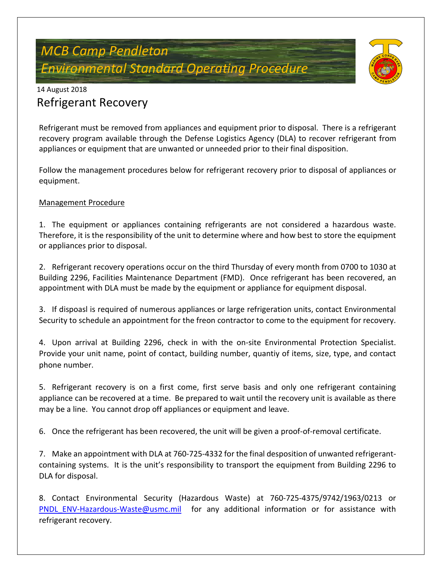# *MCB Camp Pendleton Environmental Standard Operating Procedure*



## 14 August 2018 Refrigerant Recovery

Refrigerant must be removed from appliances and equipment prior to disposal. There is a refrigerant recovery program available through the Defense Logistics Agency (DLA) to recover refrigerant from appliances or equipment that are unwanted or unneeded prior to their final disposition.

Follow the management procedures below for refrigerant recovery prior to disposal of appliances or equipment.

### Management Procedure

1. The equipment or appliances containing refrigerants are not considered a hazardous waste. Therefore, it is the responsibility of the unit to determine where and how best to store the equipment or appliances prior to disposal.

2. Refrigerant recovery operations occur on the third Thursday of every month from 0700 to 1030 at Building 2296, Facilities Maintenance Department (FMD). Once refrigerant has been recovered, an appointment with DLA must be made by the equipment or appliance for equipment disposal.

3. If dispoasl is required of numerous appliances or large refrigeration units, contact Environmental Security to schedule an appointment for the freon contractor to come to the equipment for recovery.

4. Upon arrival at Building 2296, check in with the on-site Environmental Protection Specialist. Provide your unit name, point of contact, building number, quantiy of items, size, type, and contact phone number.

5. Refrigerant recovery is on a first come, first serve basis and only one refrigerant containing appliance can be recovered at a time. Be prepared to wait until the recovery unit is available as there may be a line. You cannot drop off appliances or equipment and leave.

6. Once the refrigerant has been recovered, the unit will be given a proof-of-removal certificate.

7. Make an appointment with DLA at 760-725-4332 for the final desposition of unwanted refrigerantcontaining systems. It is the unit's responsibility to transport the equipment from Building 2296 to DLA for disposal.

8. Contact Environmental Security (Hazardous Waste) at 760-725-4375/9742/1963/0213 or PNDL ENV-Hazardous-Waste@usmc.mil for any additional information or for assistance with refrigerant recovery.